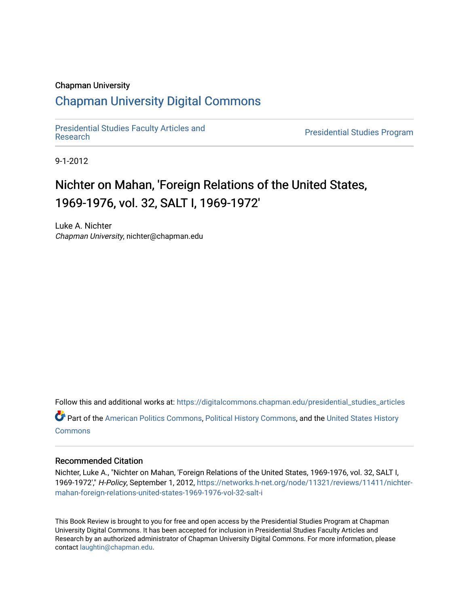#### Chapman University

## [Chapman University Digital Commons](https://digitalcommons.chapman.edu/)

[Presidential Studies Faculty Articles and](https://digitalcommons.chapman.edu/presidential_studies_articles) 

**Presidential Studies Program** 

9-1-2012

# Nichter on Mahan, 'Foreign Relations of the United States, 1969-1976, vol. 32, SALT I, 1969-1972'

Luke A. Nichter Chapman University, nichter@chapman.edu

Follow this and additional works at: [https://digitalcommons.chapman.edu/presidential\\_studies\\_articles](https://digitalcommons.chapman.edu/presidential_studies_articles?utm_source=digitalcommons.chapman.edu%2Fpresidential_studies_articles%2F18&utm_medium=PDF&utm_campaign=PDFCoverPages) 

Part of the [American Politics Commons,](http://network.bepress.com/hgg/discipline/387?utm_source=digitalcommons.chapman.edu%2Fpresidential_studies_articles%2F18&utm_medium=PDF&utm_campaign=PDFCoverPages) [Political History Commons,](http://network.bepress.com/hgg/discipline/505?utm_source=digitalcommons.chapman.edu%2Fpresidential_studies_articles%2F18&utm_medium=PDF&utm_campaign=PDFCoverPages) and the [United States History](http://network.bepress.com/hgg/discipline/495?utm_source=digitalcommons.chapman.edu%2Fpresidential_studies_articles%2F18&utm_medium=PDF&utm_campaign=PDFCoverPages) **[Commons](http://network.bepress.com/hgg/discipline/495?utm_source=digitalcommons.chapman.edu%2Fpresidential_studies_articles%2F18&utm_medium=PDF&utm_campaign=PDFCoverPages)** 

#### Recommended Citation

Nichter, Luke A., "Nichter on Mahan, 'Foreign Relations of the United States, 1969-1976, vol. 32, SALT I, 1969-1972'," H-Policy, September 1, 2012, [https://networks.h-net.org/node/11321/reviews/11411/nichter](https://networks.h-net.org/node/11321/reviews/11411/nichter-mahan-foreign-relations-united-states-1969-1976-vol-32-salt-i)[mahan-foreign-relations-united-states-1969-1976-vol-32-salt-i](https://networks.h-net.org/node/11321/reviews/11411/nichter-mahan-foreign-relations-united-states-1969-1976-vol-32-salt-i)

This Book Review is brought to you for free and open access by the Presidential Studies Program at Chapman University Digital Commons. It has been accepted for inclusion in Presidential Studies Faculty Articles and Research by an authorized administrator of Chapman University Digital Commons. For more information, please contact [laughtin@chapman.edu](mailto:laughtin@chapman.edu).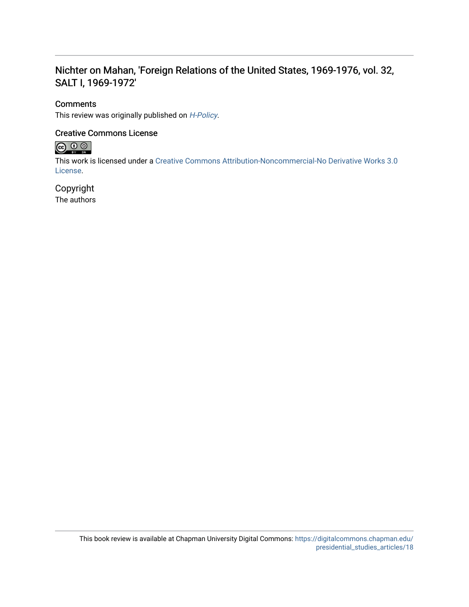### Nichter on Mahan, 'Foreign Relations of the United States, 1969-1976, vol. 32, SALT I, 1969-1972'

#### **Comments**

This review was originally published on [H-Policy](https://networks.h-net.org/node/11321/reviews/11411/nichter-mahan-foreign-relations-united-states-1969-1976-vol-32-salt-i).

#### Creative Commons License



This work is licensed under a [Creative Commons Attribution-Noncommercial-No Derivative Works 3.0](https://creativecommons.org/licenses/by-nc-nd/3.0/) [License](https://creativecommons.org/licenses/by-nc-nd/3.0/).

### Copyright

The authors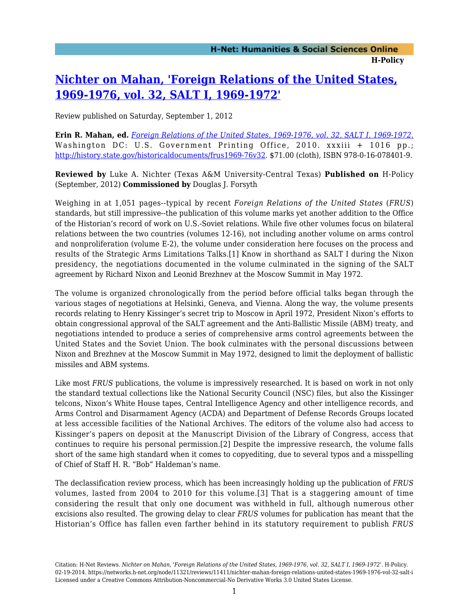## **[Nichter on Mahan, 'Foreign Relations of the United States,](https://networks.h-net.org/node/11321/reviews/11411/nichter-mahan-foreign-relations-united-states-1969-1976-vol-32-salt-i) [1969-1976, vol. 32, SALT I, 1969-1972'](https://networks.h-net.org/node/11321/reviews/11411/nichter-mahan-foreign-relations-united-states-1969-1976-vol-32-salt-i)**

Review published on Saturday, September 1, 2012

**Erin R. Mahan, ed.** *[Foreign Relations of the United States, 1969-1976, vol. 32, SALT I, 1969-1972.](http://www.amazon.com/exec/obidos/ASIN/0160784018)* Washington DC: U.S. Government Printing Office, 2010. xxxiii + 1016 pp.; [http://history.state.gov/historicaldocuments/frus1969-76v32.](http://history.state.gov/historicaldocuments/frus1969-76v32) \$71.00 (cloth), ISBN 978-0-16-078401-9.

**Reviewed by** Luke A. Nichter (Texas A&M University-Central Texas) **Published on** H-Policy (September, 2012) **Commissioned by** Douglas J. Forsyth

Weighing in at 1,051 pages--typical by recent *Foreign Relations of the United States* (*FRUS*) standards, but still impressive--the publication of this volume marks yet another addition to the Office of the Historian's record of work on U.S.-Soviet relations. While five other volumes focus on bilateral relations between the two countries (volumes 12-16), not including another volume on arms control and nonproliferation (volume E-2), the volume under consideration here focuses on the process and results of the Strategic Arms Limitations Talks.[1] Know in shorthand as SALT I during the Nixon presidency, the negotiations documented in the volume culminated in the signing of the SALT agreement by Richard Nixon and Leonid Brezhnev at the Moscow Summit in May 1972.

The volume is organized chronologically from the period before official talks began through the various stages of negotiations at Helsinki, Geneva, and Vienna. Along the way, the volume presents records relating to Henry Kissinger's secret trip to Moscow in April 1972, President Nixon's efforts to obtain congressional approval of the SALT agreement and the Anti-Ballistic Missile (ABM) treaty, and negotiations intended to produce a series of comprehensive arms control agreements between the United States and the Soviet Union. The book culminates with the personal discussions between Nixon and Brezhnev at the Moscow Summit in May 1972, designed to limit the deployment of ballistic missiles and ABM systems.

Like most *FRUS* publications, the volume is impressively researched. It is based on work in not only the standard textual collections like the National Security Council (NSC) files, but also the Kissinger telcons, Nixon's White House tapes, Central Intelligence Agency and other intelligence records, and Arms Control and Disarmament Agency (ACDA) and Department of Defense Records Groups located at less accessible facilities of the National Archives. The editors of the volume also had access to Kissinger's papers on deposit at the Manuscript Division of the Library of Congress, access that continues to require his personal permission.[2] Despite the impressive research, the volume falls short of the same high standard when it comes to copyediting, due to several typos and a misspelling of Chief of Staff H. R. "Bob" Haldeman's name.

The declassification review process, which has been increasingly holding up the publication of *FRUS* volumes, lasted from 2004 to 2010 for this volume.[3] That is a staggering amount of time considering the result that only one document was withheld in full, although numerous other excisions also resulted. The growing delay to clear *FRUS* volumes for publication has meant that the Historian's Office has fallen even farther behind in its statutory requirement to publish *FRUS*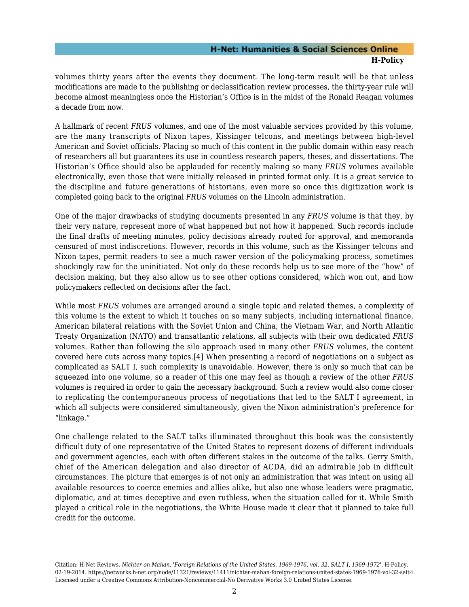#### **H-Net: Humanities & Social Sciences Online H-Policy**

volumes thirty years after the events they document. The long-term result will be that unless modifications are made to the publishing or declassification review processes, the thirty-year rule will become almost meaningless once the Historian's Office is in the midst of the Ronald Reagan volumes a decade from now.

A hallmark of recent *FRUS* volumes, and one of the most valuable services provided by this volume, are the many transcripts of Nixon tapes, Kissinger telcons, and meetings between high-level American and Soviet officials. Placing so much of this content in the public domain within easy reach of researchers all but guarantees its use in countless research papers, theses, and dissertations. The Historian's Office should also be applauded for recently making so many *FRUS* volumes available electronically, even those that were initially released in printed format only. It is a great service to the discipline and future generations of historians, even more so once this digitization work is completed going back to the original *FRUS* volumes on the Lincoln administration.

One of the major drawbacks of studying documents presented in any *FRUS* volume is that they, by their very nature, represent more of what happened but not how it happened. Such records include the final drafts of meeting minutes, policy decisions already routed for approval, and memoranda censured of most indiscretions. However, records in this volume, such as the Kissinger telcons and Nixon tapes, permit readers to see a much rawer version of the policymaking process, sometimes shockingly raw for the uninitiated. Not only do these records help us to see more of the "how" of decision making, but they also allow us to see other options considered, which won out, and how policymakers reflected on decisions after the fact.

While most *FRUS* volumes are arranged around a single topic and related themes, a complexity of this volume is the extent to which it touches on so many subjects, including international finance, American bilateral relations with the Soviet Union and China, the Vietnam War, and North Atlantic Treaty Organization (NATO) and transatlantic relations, all subjects with their own dedicated *FRUS* volumes. Rather than following the silo approach used in many other *FRUS* volumes, the content covered here cuts across many topics.[4] When presenting a record of negotiations on a subject as complicated as SALT I, such complexity is unavoidable. However, there is only so much that can be squeezed into one volume, so a reader of this one may feel as though a review of the other *FRUS* volumes is required in order to gain the necessary background. Such a review would also come closer to replicating the contemporaneous process of negotiations that led to the SALT I agreement, in which all subjects were considered simultaneously, given the Nixon administration's preference for "linkage."

One challenge related to the SALT talks illuminated throughout this book was the consistently difficult duty of one representative of the United States to represent dozens of different individuals and government agencies, each with often different stakes in the outcome of the talks. Gerry Smith, chief of the American delegation and also director of ACDA, did an admirable job in difficult circumstances. The picture that emerges is of not only an administration that was intent on using all available resources to coerce enemies and allies alike, but also one whose leaders were pragmatic, diplomatic, and at times deceptive and even ruthless, when the situation called for it. While Smith played a critical role in the negotiations, the White House made it clear that it planned to take full credit for the outcome.

Citation: H-Net Reviews. *Nichter on Mahan, 'Foreign Relations of the United States, 1969-1976, vol. 32, SALT I, 1969-1972'*. H-Policy. 02-19-2014. https://networks.h-net.org/node/11321/reviews/11411/nichter-mahan-foreign-relations-united-states-1969-1976-vol-32-salt-i Licensed under a Creative Commons Attribution-Noncommercial-No Derivative Works 3.0 United States License.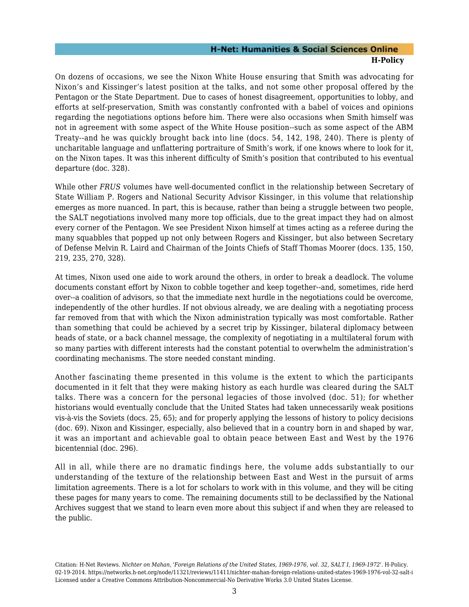#### **H-Net: Humanities & Social Sciences Online H-Policy**

On dozens of occasions, we see the Nixon White House ensuring that Smith was advocating for Nixon's and Kissinger's latest position at the talks, and not some other proposal offered by the Pentagon or the State Department. Due to cases of honest disagreement, opportunities to lobby, and efforts at self-preservation, Smith was constantly confronted with a babel of voices and opinions regarding the negotiations options before him. There were also occasions when Smith himself was not in agreement with some aspect of the White House position--such as some aspect of the ABM Treaty--and he was quickly brought back into line (docs. 54, 142, 198, 240). There is plenty of uncharitable language and unflattering portraiture of Smith's work, if one knows where to look for it, on the Nixon tapes. It was this inherent difficulty of Smith's position that contributed to his eventual departure (doc. 328).

While other *FRUS* volumes have well-documented conflict in the relationship between Secretary of State William P. Rogers and National Security Advisor Kissinger, in this volume that relationship emerges as more nuanced. In part, this is because, rather than being a struggle between two people, the SALT negotiations involved many more top officials, due to the great impact they had on almost every corner of the Pentagon. We see President Nixon himself at times acting as a referee during the many squabbles that popped up not only between Rogers and Kissinger, but also between Secretary of Defense Melvin R. Laird and Chairman of the Joints Chiefs of Staff Thomas Moorer (docs. 135, 150, 219, 235, 270, 328).

At times, Nixon used one aide to work around the others, in order to break a deadlock. The volume documents constant effort by Nixon to cobble together and keep together--and, sometimes, ride herd over--a coalition of advisors, so that the immediate next hurdle in the negotiations could be overcome, independently of the other hurdles. If not obvious already, we are dealing with a negotiating process far removed from that with which the Nixon administration typically was most comfortable. Rather than something that could be achieved by a secret trip by Kissinger, bilateral diplomacy between heads of state, or a back channel message, the complexity of negotiating in a multilateral forum with so many parties with different interests had the constant potential to overwhelm the administration's coordinating mechanisms. The store needed constant minding.

Another fascinating theme presented in this volume is the extent to which the participants documented in it felt that they were making history as each hurdle was cleared during the SALT talks. There was a concern for the personal legacies of those involved (doc. 51); for whether historians would eventually conclude that the United States had taken unnecessarily weak positions vis-à-vis the Soviets (docs. 25, 65); and for properly applying the lessons of history to policy decisions (doc. 69). Nixon and Kissinger, especially, also believed that in a country born in and shaped by war, it was an important and achievable goal to obtain peace between East and West by the 1976 bicentennial (doc. 296).

All in all, while there are no dramatic findings here, the volume adds substantially to our understanding of the texture of the relationship between East and West in the pursuit of arms limitation agreements. There is a lot for scholars to work with in this volume, and they will be citing these pages for many years to come. The remaining documents still to be declassified by the National Archives suggest that we stand to learn even more about this subject if and when they are released to the public.

Citation: H-Net Reviews. *Nichter on Mahan, 'Foreign Relations of the United States, 1969-1976, vol. 32, SALT I, 1969-1972'*. H-Policy. 02-19-2014. https://networks.h-net.org/node/11321/reviews/11411/nichter-mahan-foreign-relations-united-states-1969-1976-vol-32-salt-i Licensed under a Creative Commons Attribution-Noncommercial-No Derivative Works 3.0 United States License.